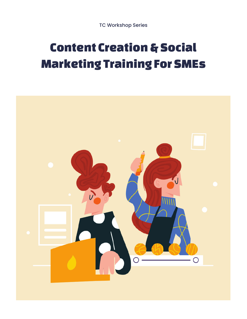# Content Creation & Social Marketing Training For SMEs

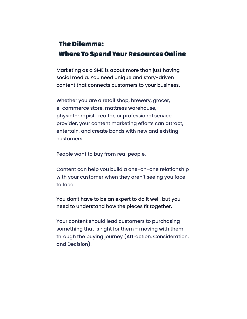#### The Dilemma: Where To Spend Your Resources Online

Marketing as a SME is about more than just having social media. You need unique and story-driven content that connects customers to your business.

Whether you are a retail shop, brewery, grocer, e-commerce store, mattress warehouse, physiotherapist, realtor, or professional service provider, your content marketing efforts can attract, entertain, and create bonds with new and existing customers.

People want to buy from real people.

Content can help you build a one-on-one relationship with your customer when they aren't seeing you face to face.

You don't have to be an expert to do it well, but you need to understand how the pieces fit together.

Your content should lead customers to purchasing something that is right for them - moving with them through the buying journey (Attraction, Consideration, and Decision).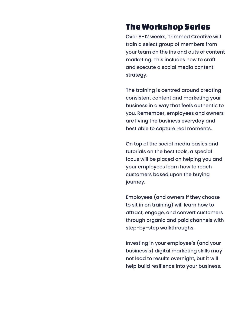# The Workshop Series

Over 8-12 weeks, Trimmed Creative will train a select group of members from your team on the ins and outs of content marketing. This includes how to craft and execute a social media content strategy.

The training is centred around creating consistent content and marketing your business in a way that feels authentic to you. Remember, employees and owners are living the business everyday and best able to capture real moments.

On top of the social media basics and tutorials on the best tools, a special focus will be placed on helping you and your employees learn how to reach customers based upon the buying journey.

Employees (and owners if they choose to sit in on training) will learn how to attract, engage, and convert customers through organic and paid channels with step-by-step walkthroughs.

Investing in your employee's (and your business's) digital marketing skills may not lead to results overnight, but it will help build resilience into your business.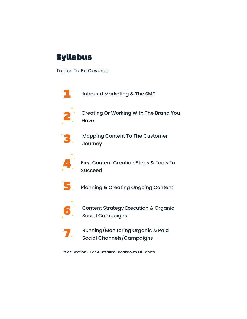# Syllabus

Topics To Be Covered



Inbound Marketing & The SME



Creating Or Working With The Brand You **Have** 



Mapping Content To The Customer Journey



First Content Creation Steps & Tools To Succeed



Planning & Creating Ongoing Content



Content Strategy Execution & Organic Social Campaigns



Running/Monitoring Organic & Paid Social Channels/Campaigns

\*See Section 3 For A Detailed Breakdown Of Topics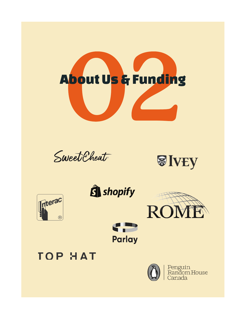

Sweet Cheat







**CP** 

**Parlay** 







Penguin<br>Random House Canada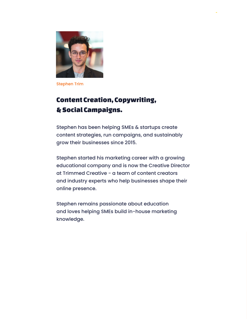

Stephen Trim

# Content Creation, Copywriting, & Social Campaigns.

Stephen has been helping SMEs & startups create content strategies, run campaigns, and sustainably grow their businesses since 2015.

Stephen started his marketing career with a growing educational company and is now the Creative Director at Trimmed Creative - a team of content creators and industry experts who help businesses shape their online presence.

Stephen remains passionate about education and loves helping SMEs build in-house marketing knowledge.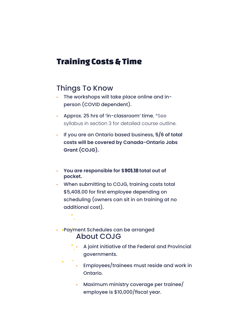# Training Costs & Time

### Things To Know

- The workshops will take place online and inperson (COVID dependent).
- Approx. 25 hrs of 'in-classroom' time. \*See syllabus in section 3 for detailed course outline.
- If you are an Ontario based business, **5/6 of total costs will be covered by Canada-Ontario Jobs Grant (COJG).**
- **You are responsible for \$ʬʣʤʡʤʫ total out of pocket.**
- When submitting to COJG, training costs total  $$5,408.00$  for first employee depending on scheduling (owners can sit in on training at no additional cost).

#### • • Payment Schedules can be arranged About COJG

- A joint initiative of the Federal and Provincial governments.
- Employees/trainees must reside and work in Ontario.
- Maximum ministry coverage per trainee/ employee is \$10,000/fiscal year.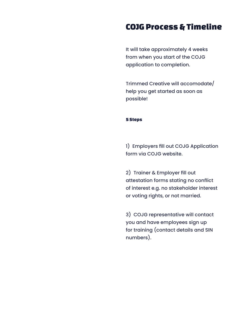# COJG Process & Timeline

It will take approximately 4 weeks from when you start of the COJG application to completion.

Trimmed Creative will accomodate/ help you get started as soon as possible!

#### 5 Steps

1) Employers fill out COJG Application form via COJG website.

2) Trainer & Employer fill out attestation forms stating no conflict of interest e.g. no stakeholder interest or voting rights, or not married.

3) COJG representative will contact you and have employees sign up for training (contact details and SIN numbers).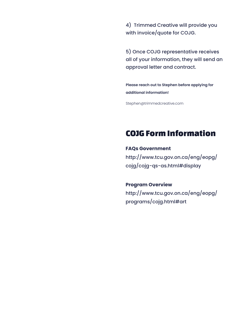4) Trimmed Creative will provide you with invoice/quote for COJG.

5) Once COJG representative receives all of your information, they will send an approval letter and contract.

**Please reach out to Stephen before applying for additional information!**

Stephen@trimmedcreative.com

# COJG Form Information

**FAQs Government** http://www.tcu.gov.on.ca/eng/eopg/ cojg/cojg-qs-as.html#display

**Program Overview** http://www.tcu.gov.on.ca/eng/eopg/ programs/cojg.html#art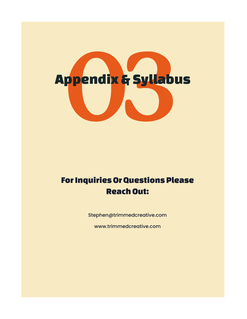# Appendix & Syllabus

# For Inquiries Or Questions Please Reach Out:

Stephen@trimmedcreative.com

www.trimmedcreative.com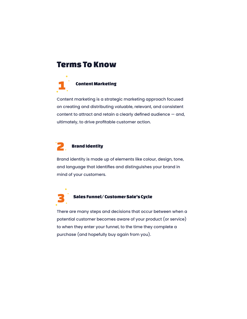#### Terms To Know



Content marketing is a strategic marketing approach focused on creating and distributing valuable, relevant, and consistent content to attract and retain a clearly defined audience – and, ultimately, to drive profitable customer action.

#### Brand Identity 2

Brand identity is made up of elements like colour, design, tone, and language that identifies and distinguishes your brand in mind of your customers.



#### Sales Funnel/ Customer Sale's Cycle

There are many steps and decisions that occur between when a potential customer becomes aware of your product (or service) to when they enter your funnel, to the time they complete a purchase (and hopefully buy again from you).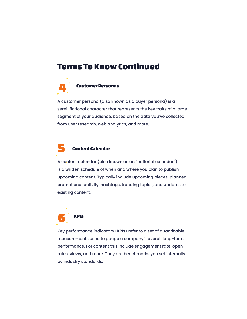# Terms To Know Continued



A customer persona (also known as a buyer persona) is a semi-fictional character that represents the key traits of a large segment of your audience, based on the data you've collected from user research, web analytics, and more.

#### Content Calendar 5

A content calendar (also known as an "editorial calendar") is a written schedule of when and where you plan to publish upcoming content. Typically include upcoming pieces, planned promotional activity, hashtags, trending topics, and updates to existing content.



Key performance indicators (KPIs) refer to a set of quantifiable measurements used to gauge a company's overall long-term performance. For content this include engagement rate, open rates, views, and more. They are benchmarks you set internally by industry standards.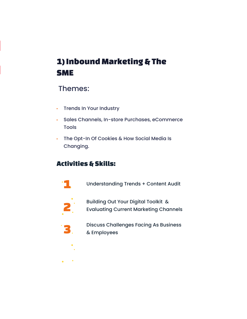# 1) Inbound Marketing & The SME

### Themes:

- Trends In Your Industry
- Sales Channels, In-store Purchases, eCommerce Tools
- The Opt-In Of Cookies & How Social Media Is Changing.

# Activities & Skills:

Understanding Trends + Content Audit



**TI** 

Building Out Your Digital Toolkit & Evaluating Current Marketing Channels



Discuss Challenges Facing As Business & Employees

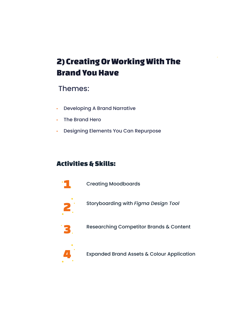# 2) Creating Or Working With The Brand You Have

# Themes:

- Developing A Brand Narrative
- The Brand Hero
- Designing Elements You Can Repurpose

# Activities & Skills:



Creating Moodboards



Storyboarding with *Figma Design Tool*



Researching Competitor Brands & Content



Expanded Brand Assets & Colour Application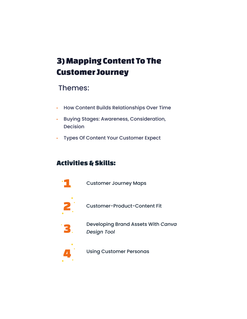# 3) Mapping Content To The Customer Journey

# Themes:

- How Content Builds Relationships Over Time
- Buying Stages: Awareness, Consideration, Decision
- Types Of Content Your Customer Expect

# Activities & Skills:



Customer Journey Maps



Customer-Product-Content Fit



Developing Brand Assets With *Canva Design Tool*



Using Customer Personas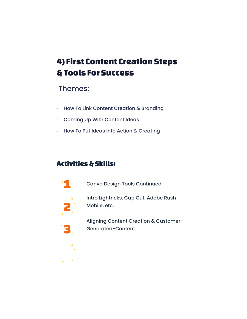# 4) First Content Creation Steps & Tools For Success

# Themes:

- How To Link Content Creation & Branding
- Coming Up With Content Ideas
- How To Put Ideas Into Action & Creating

# Activities & Skills:



Canva Design Tools Continued



Intro Lightricks, Cap Cut, Adobe Rush Mobile, etc.



Aligning Content Creation & Customer-Generated-Content

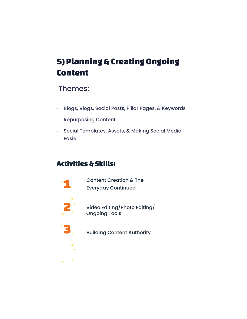# 5) Planning & Creating Ongoing Content

# Themes:

- Blogs, Vlogs, Social Posts, Pillar Pages, & Keywords
- Repurposing Content
- Social Templates, Assets, & Making Social Media Easier

# Activities & Skills:



Content Creation & The Everyday Continued



Video Editing/Photo Editing/ Ongoing Tools



Building Content Authority

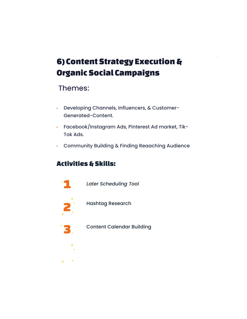# 6) Content Strategy Execution & Organic Social Campaigns

# Themes:

- Developing Channels, Influencers, & Customer-Generated-Content.
- Facebook/Instagram Ads, Pinterest Ad market, Tik-Tok Ads.
- Community Building & Finding Reaaching Audience

# Activities & Skills:



*Later Scheduling Tool*



Hashtag Research



Content Calendar Building